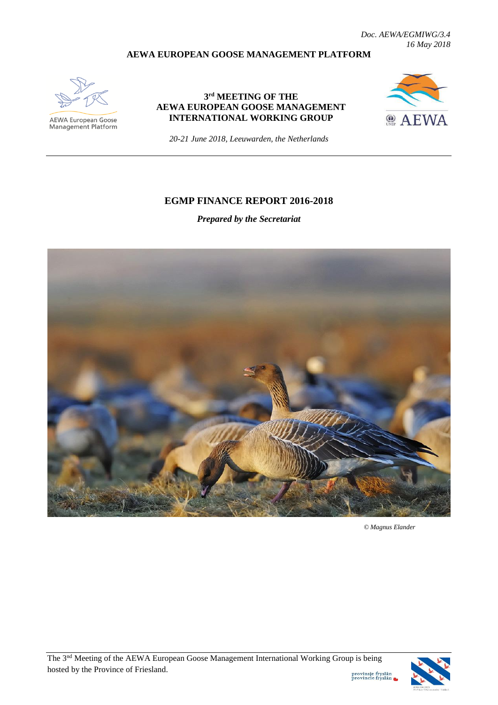*Doc. AEWA/EGMIWG/3.4 16 May 2018*

#### **AEWA EUROPEAN GOOSE MANAGEMENT PLATFORM**



AEWA European Goose Management Platform

### **3 rd MEETING OF THE AEWA EUROPEAN GOOSE MANAGEMENT INTERNATIONAL WORKING GROUP**



*20-21 June 2018, Leeuwarden, the Netherlands*

### **EGMP FINANCE REPORT 2016-2018**

*Prepared by the Secretariat*



 *© Magnus Elander*



provinsje fryslân<br>provincie fryslân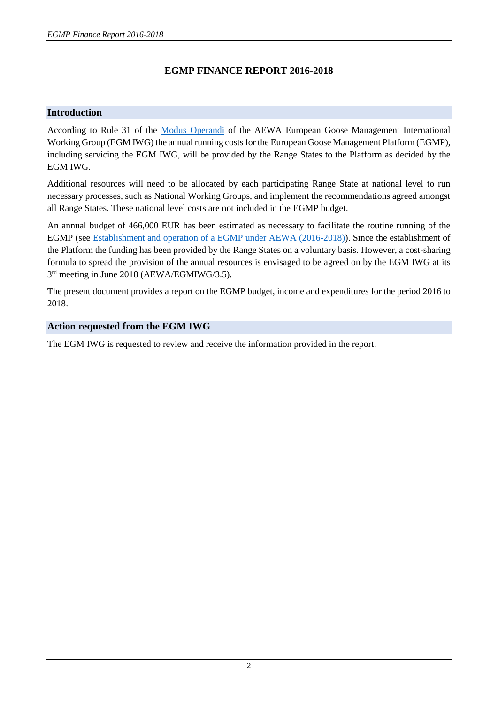# **EGMP FINANCE REPORT 2016-2018**

## **Introduction**

According to Rule 31 of the [Modus Operandi](http://www.unep-aewa.org/sites/default/files/document/aewa_egmiwg2_inf_4_egmiwg_modus_operandi.pdf) of the AEWA European Goose Management International Working Group (EGM IWG) the annual running costs for the European Goose Management Platform (EGMP), including servicing the EGM IWG, will be provided by the Range States to the Platform as decided by the EGM IWG.

Additional resources will need to be allocated by each participating Range State at national level to run necessary processes, such as National Working Groups, and implement the recommendations agreed amongst all Range States. These national level costs are not included in the EGMP budget.

An annual budget of 466,000 EUR has been estimated as necessary to facilitate the routine running of the EGMP (see [Establishment and operation of a EGMP under AEWA \(2016-2018\)\)](http://www.unep-aewa.org/sites/default/files/document/aewa_egm_iwg_1_inf_3_aewa_egmp_establishment.pdf). Since the establishment of the Platform the funding has been provided by the Range States on a voluntary basis. However, a cost-sharing formula to spread the provision of the annual resources is envisaged to be agreed on by the EGM IWG at its 3<sup>rd</sup> meeting in June 2018 (AEWA/EGMIWG/3.5).

The present document provides a report on the EGMP budget, income and expenditures for the period 2016 to 2018.

### **Action requested from the EGM IWG**

The EGM IWG is requested to review and receive the information provided in the report.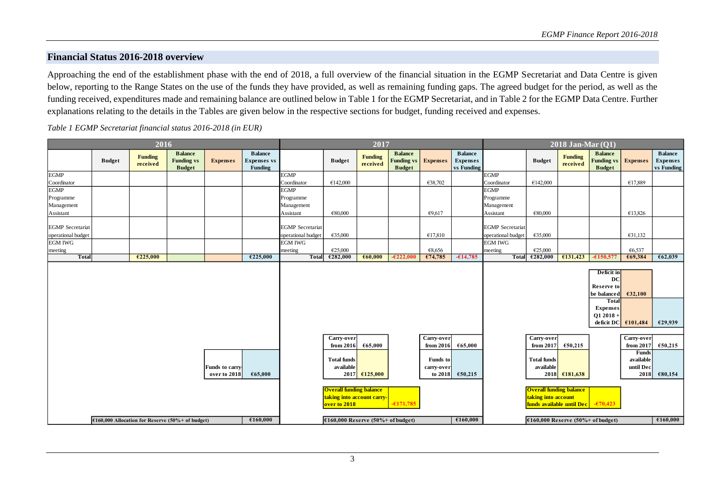### **Financial Status 2016-2018 overview**

Approaching the end of the establishment phase with the end of 2018, a full overview of the financial situation in the EGMP Secretariat and Data Centre is given below, reporting to the Range States on the use of the funds they have provided, as well as remaining funding gaps. The agreed budget for the period, as well as the funding received, expenditures made and remaining balance are outlined below in Table 1 for the EGMP Secretariat, and in Table 2 for the EGMP Data Centre. Further explanations relating to the details in the Tables are given below in the respective sections for budget, funding received and expenses.

*Table 1 EGMP Secretariat financial status 2016-2018 (in EUR)*

| 2016                                                           |               |                            |                                                      |                                |                                                 | 2017                                            |                                                                                                                 |                            |                                                      |                                                 | $2018$ Jan-Mar $(Q1)$                    |                         |                                                                                          |                                                        |                                                                                                                                                                                                                                                                                                                                                                                                                                                                                                                                    |                                                |                                                 |
|----------------------------------------------------------------|---------------|----------------------------|------------------------------------------------------|--------------------------------|-------------------------------------------------|-------------------------------------------------|-----------------------------------------------------------------------------------------------------------------|----------------------------|------------------------------------------------------|-------------------------------------------------|------------------------------------------|-------------------------|------------------------------------------------------------------------------------------|--------------------------------------------------------|------------------------------------------------------------------------------------------------------------------------------------------------------------------------------------------------------------------------------------------------------------------------------------------------------------------------------------------------------------------------------------------------------------------------------------------------------------------------------------------------------------------------------------|------------------------------------------------|-------------------------------------------------|
|                                                                | <b>Budget</b> | <b>Funding</b><br>received | <b>Balance</b><br><b>Funding vs</b><br><b>Budget</b> | <b>Expenses</b>                | <b>Balance</b><br><b>Expenses</b> vs<br>Funding |                                                 | <b>Budget</b>                                                                                                   | <b>Funding</b><br>received | <b>Balance</b><br><b>Funding vs</b><br><b>Budget</b> | <b>Expenses</b>                                 | <b>Balance</b><br>Expenses<br>vs Funding |                         | <b>Budget</b>                                                                            | Funding<br>received                                    | <b>Balance</b><br><b>Funding vs</b><br><b>Budget</b>                                                                                                                                                                                                                                                                                                                                                                                                                                                                               | <b>Expenses</b>                                | <b>Balance</b><br><b>Expenses</b><br>vs Funding |
| <b>EGMP</b>                                                    |               |                            |                                                      |                                |                                                 | <b>EGMP</b>                                     |                                                                                                                 |                            |                                                      |                                                 |                                          | <b>EGMP</b>             |                                                                                          |                                                        |                                                                                                                                                                                                                                                                                                                                                                                                                                                                                                                                    |                                                |                                                 |
| Coordinator                                                    |               |                            |                                                      |                                |                                                 | Coordinator                                     | €142,000                                                                                                        |                            |                                                      | €38,702                                         |                                          | Coordinator             | €142,000                                                                                 |                                                        |                                                                                                                                                                                                                                                                                                                                                                                                                                                                                                                                    | €17,889                                        |                                                 |
| <b>EGMP</b>                                                    |               |                            |                                                      |                                |                                                 | <b>EGMP</b>                                     |                                                                                                                 |                            |                                                      |                                                 |                                          | <b>EGMP</b>             |                                                                                          |                                                        |                                                                                                                                                                                                                                                                                                                                                                                                                                                                                                                                    |                                                |                                                 |
| Programme<br>Management                                        |               |                            |                                                      |                                |                                                 | Programme<br>Management                         |                                                                                                                 |                            |                                                      |                                                 |                                          | Programme<br>Management |                                                                                          |                                                        |                                                                                                                                                                                                                                                                                                                                                                                                                                                                                                                                    |                                                |                                                 |
| Assistant                                                      |               |                            |                                                      |                                |                                                 | Assistant                                       | €80,000                                                                                                         |                            |                                                      | €9,617                                          |                                          | Assistant               | €80,000                                                                                  |                                                        |                                                                                                                                                                                                                                                                                                                                                                                                                                                                                                                                    | €13,826                                        |                                                 |
|                                                                |               |                            |                                                      |                                |                                                 |                                                 |                                                                                                                 |                            |                                                      |                                                 |                                          |                         |                                                                                          |                                                        |                                                                                                                                                                                                                                                                                                                                                                                                                                                                                                                                    |                                                |                                                 |
| <b>EGMP</b> Secretariat                                        |               |                            |                                                      |                                |                                                 | <b>EGMP</b> Secretariat                         |                                                                                                                 |                            |                                                      |                                                 |                                          | <b>EGMP</b> Secretariat |                                                                                          |                                                        |                                                                                                                                                                                                                                                                                                                                                                                                                                                                                                                                    |                                                |                                                 |
| operational budget                                             |               |                            |                                                      |                                |                                                 | operational budget                              | €35,000                                                                                                         |                            |                                                      | €17,810                                         |                                          | operational budget      | €35,000                                                                                  |                                                        |                                                                                                                                                                                                                                                                                                                                                                                                                                                                                                                                    | €31,132                                        |                                                 |
| <b>EGM IWG</b>                                                 |               |                            |                                                      |                                |                                                 | <b>EGM IWG</b>                                  |                                                                                                                 |                            |                                                      |                                                 |                                          | <b>EGM IWG</b>          |                                                                                          |                                                        |                                                                                                                                                                                                                                                                                                                                                                                                                                                                                                                                    |                                                |                                                 |
| meeting                                                        |               |                            |                                                      |                                |                                                 | meeting                                         | €25,000                                                                                                         |                            |                                                      | €8,656                                          |                                          | meeting                 | €25,000                                                                                  |                                                        |                                                                                                                                                                                                                                                                                                                                                                                                                                                                                                                                    | €6,537                                         |                                                 |
| <b>Total</b>                                                   |               | €225,000                   |                                                      |                                | €225,000                                        | <b>Total</b>                                    | €282,000                                                                                                        | €60,000                    | $-\epsilon 222.000$                                  | €74,785                                         | $-614,785$                               | <b>Total</b>            | €282,000                                                                                 | £131,423                                               | $-6150,577$                                                                                                                                                                                                                                                                                                                                                                                                                                                                                                                        | €69,384                                        | 662,039                                         |
|                                                                |               |                            |                                                      |                                |                                                 |                                                 |                                                                                                                 |                            |                                                      |                                                 |                                          |                         |                                                                                          |                                                        | Deficit in<br>DC<br><b>Reserve to</b><br>be balanced<br><b>Total</b><br><b>Expenses</b><br>$Q12018 +$<br>deficit DC $\left  \right $ $\left  \right $ $\left  \right $ $\left  \right $ $\left  \right $ $\left  \right $ $\left  \right $ $\left  \right $ $\left  \right $ $\left  \right $ $\left  \right $ $\left  \right $ $\left  \right $ $\left  \right $ $\left  \right $ $\left  \right $ $\left  \right $ $\left  \right $ $\left  \right $ $\left  \right $ $\left  \right $ $\left  \right $ $\left  \right $ $\left$ | 632,100                                        | £29,939                                         |
|                                                                |               |                            |                                                      |                                |                                                 |                                                 | Carry-over<br>from 2016                                                                                         | 665,000                    |                                                      | Carry-over<br>from 2016                         | 665,000                                  |                         | Carry-over<br>from 2017                                                                  | €50,215                                                |                                                                                                                                                                                                                                                                                                                                                                                                                                                                                                                                    | Carry-over<br>from 2017                        | £50,215                                         |
|                                                                |               |                            |                                                      | Funds to carry<br>over to 2018 | €65,000                                         |                                                 | <b>Total funds</b><br>available<br><b>Overall funding balance</b><br>taking into account carry-<br>over to 2018 | $2017$ $\bigoplus 125,000$ | $-6171,785$                                          | Funds to<br>carry-over<br>to 2018               | 650,215                                  |                         | <b>Total funds</b><br>available<br><b>Overall funding balance</b><br>taking into account | 2018 €181,638<br>funds available until Dec - - £70,423 |                                                                                                                                                                                                                                                                                                                                                                                                                                                                                                                                    | <b>Funds</b><br>available<br>until Dec<br>2018 | €80,154                                         |
| €160,000<br>$£160,000$ Allocation for Reserve (50%+ of budget) |               |                            |                                                      |                                |                                                 | €160,000<br>$£160,000$ Reserve (50%+ of budget) |                                                                                                                 |                            |                                                      | £160,000<br>$£160,000$ Reserve (50%+ of budget) |                                          |                         |                                                                                          |                                                        |                                                                                                                                                                                                                                                                                                                                                                                                                                                                                                                                    |                                                |                                                 |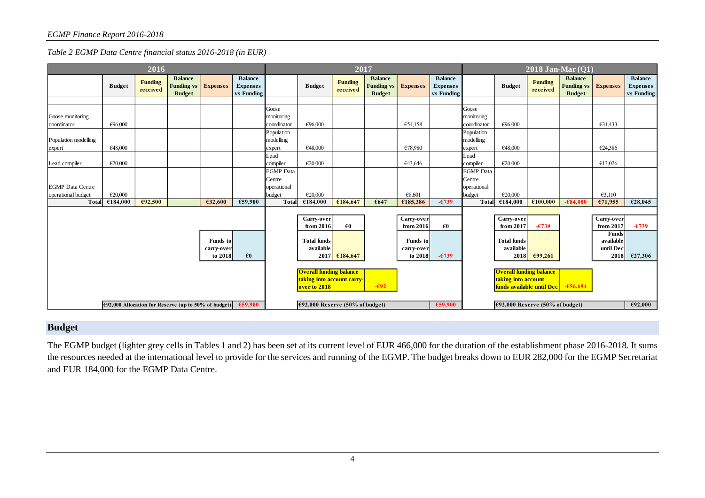*Table 2 EGMP Data Centre financial status 2016-2018 (in EUR)*

| 2016                                                              |               |                            |                                                      |                 |                                                 | 2017                            |                                                                              |                            |                                                      |                 |                                                 | $2018$ Jan-Mar $(Q1)$           |                                                                                               |                     |                                                      |                 |                                                 |
|-------------------------------------------------------------------|---------------|----------------------------|------------------------------------------------------|-----------------|-------------------------------------------------|---------------------------------|------------------------------------------------------------------------------|----------------------------|------------------------------------------------------|-----------------|-------------------------------------------------|---------------------------------|-----------------------------------------------------------------------------------------------|---------------------|------------------------------------------------------|-----------------|-------------------------------------------------|
|                                                                   | <b>Budget</b> | <b>Funding</b><br>received | <b>Balance</b><br><b>Funding vs</b><br><b>Budget</b> | <b>Expenses</b> | <b>Balance</b><br><b>Expenses</b><br>vs Funding |                                 | <b>Budget</b>                                                                | <b>Funding</b><br>received | <b>Balance</b><br><b>Funding vs</b><br><b>Budget</b> | <b>Expenses</b> | <b>Balance</b><br><b>Expenses</b><br>vs Funding |                                 | <b>Budget</b>                                                                                 | Funding<br>received | <b>Balance</b><br><b>Funding vs</b><br><b>Budget</b> | <b>Expenses</b> | <b>Balance</b><br><b>Expenses</b><br>vs Funding |
|                                                                   |               |                            |                                                      |                 |                                                 |                                 |                                                                              |                            |                                                      |                 |                                                 |                                 |                                                                                               |                     |                                                      |                 |                                                 |
| Goose monitoring                                                  |               |                            |                                                      |                 |                                                 | Goose<br>monitoring             |                                                                              |                            |                                                      |                 |                                                 | Goose<br>monitoring             |                                                                                               |                     |                                                      |                 |                                                 |
| coordinator                                                       | €96,000       |                            |                                                      |                 |                                                 | coordinator<br>Population       | €96,000                                                                      |                            |                                                      | €54,158         |                                                 | coordinator<br>Population       | €96,000                                                                                       |                     |                                                      | €31,433         |                                                 |
| Population modelling                                              |               |                            |                                                      |                 |                                                 | modelling                       |                                                                              |                            |                                                      |                 |                                                 | modelling                       |                                                                                               |                     |                                                      |                 |                                                 |
| expert                                                            | €48,000       |                            |                                                      |                 |                                                 | expert                          | €48,000                                                                      |                            |                                                      | €78,980         |                                                 | expert                          | €48,000                                                                                       |                     |                                                      | €24,386         |                                                 |
| Lead compiler                                                     | €20,000       |                            |                                                      |                 |                                                 | Lead<br>compiler                | €20,000                                                                      |                            |                                                      | €43,646         |                                                 | Lead<br>compiler                | €20,000                                                                                       |                     |                                                      | €13,026         |                                                 |
|                                                                   |               |                            |                                                      |                 |                                                 | <b>EGMP</b> Data<br>Centre      |                                                                              |                            |                                                      |                 |                                                 | <b>EGMP</b> Data<br>Centre      |                                                                                               |                     |                                                      |                 |                                                 |
| <b>EGMP</b> Data Centre                                           |               |                            |                                                      |                 |                                                 | operational                     |                                                                              |                            |                                                      |                 |                                                 | operational                     |                                                                                               |                     |                                                      |                 |                                                 |
| operational budget                                                | €20,000       |                            |                                                      |                 |                                                 | budget                          | €20,000                                                                      |                            |                                                      | €8,601          |                                                 | budget                          | €20,000                                                                                       |                     |                                                      | €3,110          |                                                 |
| <b>Total</b>                                                      | €184,000      | €92,500                    |                                                      | €32,600         | €59,900                                         | <b>Total</b>                    | €184,000                                                                     | €184,647                   | €647                                                 | €185,386        | $-\epsilon$ 739                                 | <b>Total</b>                    | €184,000                                                                                      | €100,000            | $-684.000$                                           | €71,955         | €28,045                                         |
|                                                                   |               |                            |                                                      |                 |                                                 | Carry-over<br>from 2016         | $\epsilon$ 0                                                                 |                            | Carry-over<br>from 2016                              | $\epsilon$ 0    |                                                 | Carry-over<br>from 2017         | $-6739$                                                                                       |                     | Carry-over<br>from 2017                              | $-\epsilon$ 739 |                                                 |
| <b>Funds</b> to<br>carry-over                                     |               |                            |                                                      |                 |                                                 | <b>Total funds</b><br>available |                                                                              |                            | <b>Funds</b> to<br>carry-over                        |                 |                                                 | <b>Total funds</b><br>available |                                                                                               |                     | Funds<br>available<br>until Dec                      |                 |                                                 |
|                                                                   |               |                            |                                                      | to 2018         | $\epsilon$ <sub>0</sub>                         |                                 |                                                                              | $2017$ $\epsilon$ 184,647  |                                                      | to 2018         | $-6739$                                         |                                 | <b>2018</b>                                                                                   | £99,261             |                                                      | 2018            | €27,306                                         |
|                                                                   |               |                            |                                                      |                 |                                                 |                                 | <b>Overall funding balance</b><br>taking into account carry-<br>over to 2018 |                            | $-\epsilon$ 92                                       |                 |                                                 |                                 | <b>Overall funding balance</b><br>taking into account<br>funds available until Dec $-656,694$ |                     |                                                      |                 |                                                 |
| €59,900<br>$692,000$ Allocation for Reserve (up to 50% of budget) |               |                            |                                                      |                 | €59,900<br>$€92,000$ Reserve (50% of budget)    |                                 |                                                                              |                            | €92,000<br>$€92,000$ Reserve (50% of budget)         |                 |                                                 |                                 |                                                                                               |                     |                                                      |                 |                                                 |

# **Budget**

The EGMP budget (lighter grey cells in Tables 1 and 2) has been set at its current level of EUR 466,000 for the duration of the establishment phase 2016-2018. It sums the resources needed at the international level to provide for the services and running of the EGMP. The budget breaks down to EUR 282,000 for the EGMP Secretariat and EUR 184,000 for the EGMP Data Centre.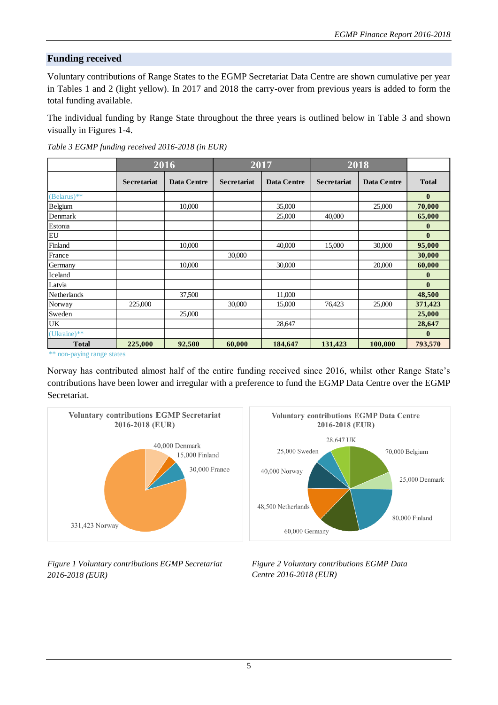# **Funding received**

Voluntary contributions of Range States to the EGMP Secretariat Data Centre are shown cumulative per year in Tables 1 and 2 (light yellow). In 2017 and 2018 the carry-over from previous years is added to form the total funding available.

The individual funding by Range State throughout the three years is outlined below in Table 3 and shown visually in Figures 1-4.

|                         |                    | 2016               |                    | 2017               | 2018               |                    |                  |
|-------------------------|--------------------|--------------------|--------------------|--------------------|--------------------|--------------------|------------------|
|                         | <b>Secretariat</b> | <b>Data Centre</b> | <b>Secretariat</b> | <b>Data Centre</b> | <b>Secretariat</b> | <b>Data Centre</b> | <b>Total</b>     |
| $(Belarus)**$           |                    |                    |                    |                    |                    |                    | $\bf{0}$         |
| Belgium                 |                    | 10,000             |                    | 35,000             |                    | 25,000             | 70,000           |
| Denmark                 |                    |                    |                    | 25,000             | 40,000             |                    | 65,000           |
| Estonia                 |                    |                    |                    |                    |                    |                    | $\mathbf{0}$     |
| EU                      |                    |                    |                    |                    |                    |                    | $\bf{0}$         |
| Finland                 |                    | 10,000             |                    | 40,000             | 15,000             | 30,000             | 95,000           |
| France                  |                    |                    | 30,000             |                    |                    |                    | 30,000           |
| Germany                 |                    | 10,000             |                    | 30,000             |                    | 20,000             | 60,000           |
| Iceland                 |                    |                    |                    |                    |                    |                    | $\boldsymbol{0}$ |
| Latvia                  |                    |                    |                    |                    |                    |                    | $\mathbf{0}$     |
| <b>Netherlands</b>      |                    | 37,500             |                    | 11,000             |                    |                    | 48,500           |
| Norway                  | 225,000            |                    | 30,000             | 15,000             | 76,423             | 25,000             | 371,423          |
| Sweden                  |                    | 25,000             |                    |                    |                    |                    | 25,000           |
| UK                      |                    |                    |                    | 28,647             |                    |                    | 28,647           |
| $(Uk^{\text{name}})$ ** |                    |                    |                    |                    |                    |                    | $\bf{0}$         |
| <b>Total</b>            | 225,000            | 92,500             | 60,000             | 184,647            | 131,423            | 100,000            | 793,570          |

*Table 3 EGMP funding received 2016-2018 (in EUR)*

\*\* non-paying range states

Norway has contributed almost half of the entire funding received since 2016, whilst other Range State's contributions have been lower and irregular with a preference to fund the EGMP Data Centre over the EGMP Secretariat.



*Figure 1 Voluntary contributions EGMP Secretariat 2016-2018 (EUR)*

*Figure 2 Voluntary contributions EGMP Data Centre 2016-2018 (EUR)*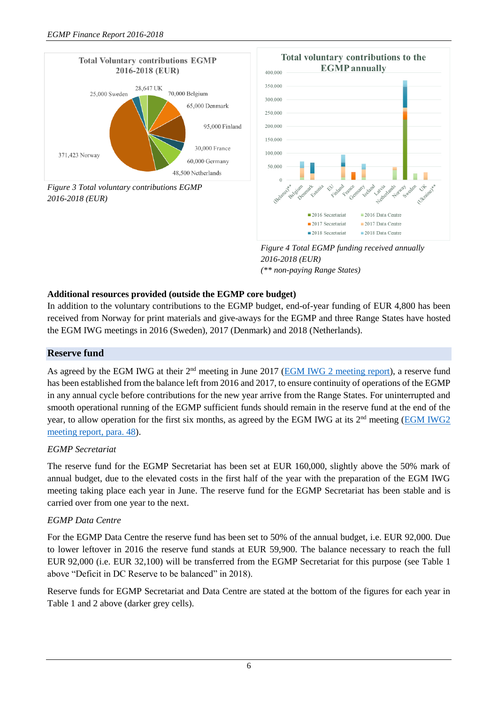



*Figure 4 Total EGMP funding received annually 2016-2018 (EUR) (\*\* non-paying Range States)*

# **Additional resources provided (outside the EGMP core budget)**

In addition to the voluntary contributions to the EGMP budget, end-of-year funding of EUR 4,800 has been received from Norway for print materials and give-aways for the EGMP and three Range States have hosted the EGM IWG meetings in 2016 (Sweden), 2017 (Denmark) and 2018 (Netherlands).

### **Reserve fund**

As agreed by the EGM IWG at their 2<sup>nd</sup> meeting in June 2017 [\(EGM IWG 2 meeting report\)](http://www.unep-aewa.org/sites/default/files/document/aewa_egm_iwg_2_report.pdf), a reserve fund has been established from the balance left from 2016 and 2017, to ensure continuity of operations of the EGMP in any annual cycle before contributions for the new year arrive from the Range States. For uninterrupted and smooth operational running of the EGMP sufficient funds should remain in the reserve fund at the end of the year, to allow operation for the first six months, as agreed by the EGM IWG at its 2nd meeting [\(EGM IWG2](http://www.unep-aewa.org/sites/default/files/document/aewa_egm_iwg_2_report.pdf)  [meeting report, para. 48\)](http://www.unep-aewa.org/sites/default/files/document/aewa_egm_iwg_2_report.pdf).

#### *EGMP Secretariat*

The reserve fund for the EGMP Secretariat has been set at EUR 160,000, slightly above the 50% mark of annual budget, due to the elevated costs in the first half of the year with the preparation of the EGM IWG meeting taking place each year in June. The reserve fund for the EGMP Secretariat has been stable and is carried over from one year to the next.

### *EGMP Data Centre*

For the EGMP Data Centre the reserve fund has been set to 50% of the annual budget, i.e. EUR 92,000. Due to lower leftover in 2016 the reserve fund stands at EUR 59,900. The balance necessary to reach the full EUR 92,000 (i.e. EUR 32,100) will be transferred from the EGMP Secretariat for this purpose (see Table 1 above "Deficit in DC Reserve to be balanced" in 2018).

Reserve funds for EGMP Secretariat and Data Centre are stated at the bottom of the figures for each year in Table 1 and 2 above (darker grey cells).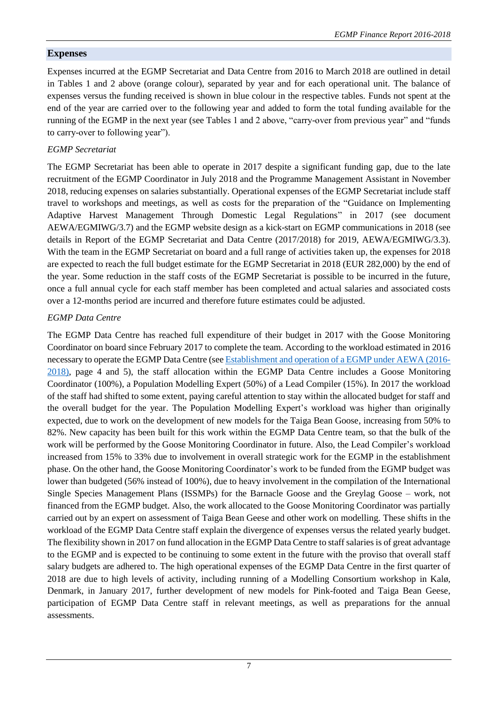# **Expenses**

Expenses incurred at the EGMP Secretariat and Data Centre from 2016 to March 2018 are outlined in detail in Tables 1 and 2 above (orange colour), separated by year and for each operational unit. The balance of expenses versus the funding received is shown in blue colour in the respective tables. Funds not spent at the end of the year are carried over to the following year and added to form the total funding available for the running of the EGMP in the next year (see Tables 1 and 2 above, "carry-over from previous year" and "funds to carry-over to following year").

# *EGMP Secretariat*

The EGMP Secretariat has been able to operate in 2017 despite a significant funding gap, due to the late recruitment of the EGMP Coordinator in July 2018 and the Programme Management Assistant in November 2018, reducing expenses on salaries substantially. Operational expenses of the EGMP Secretariat include staff travel to workshops and meetings, as well as costs for the preparation of the "Guidance on Implementing Adaptive Harvest Management Through Domestic Legal Regulations" in 2017 (see document AEWA/EGMIWG/3.7) and the EGMP website design as a kick-start on EGMP communications in 2018 (see details in Report of the EGMP Secretariat and Data Centre (2017/2018) for 2019, AEWA/EGMIWG/3.3). With the team in the EGMP Secretariat on board and a full range of activities taken up, the expenses for 2018 are expected to reach the full budget estimate for the EGMP Secretariat in 2018 (EUR 282,000) by the end of the year. Some reduction in the staff costs of the EGMP Secretariat is possible to be incurred in the future, once a full annual cycle for each staff member has been completed and actual salaries and associated costs over a 12-months period are incurred and therefore future estimates could be adjusted.

# *EGMP Data Centre*

The EGMP Data Centre has reached full expenditure of their budget in 2017 with the Goose Monitoring Coordinator on board since February 2017 to complete the team. According to the workload estimated in 2016 necessary to operate the EGMP Data Centre (se[e Establishment and operation of a EGMP under AEWA \(2016-](http://www.unep-aewa.org/sites/default/files/document/aewa_egm_iwg_1_inf_3_aewa_egmp_establishment.pdf) [2018\),](http://www.unep-aewa.org/sites/default/files/document/aewa_egm_iwg_1_inf_3_aewa_egmp_establishment.pdf) page 4 and 5), the staff allocation within the EGMP Data Centre includes a Goose Monitoring Coordinator (100%), a Population Modelling Expert (50%) of a Lead Compiler (15%). In 2017 the workload of the staff had shifted to some extent, paying careful attention to stay within the allocated budget for staff and the overall budget for the year. The Population Modelling Expert's workload was higher than originally expected, due to work on the development of new models for the Taiga Bean Goose, increasing from 50% to 82%. New capacity has been built for this work within the EGMP Data Centre team, so that the bulk of the work will be performed by the Goose Monitoring Coordinator in future. Also, the Lead Compiler's workload increased from 15% to 33% due to involvement in overall strategic work for the EGMP in the establishment phase. On the other hand, the Goose Monitoring Coordinator's work to be funded from the EGMP budget was lower than budgeted (56% instead of 100%), due to heavy involvement in the compilation of the International Single Species Management Plans (ISSMPs) for the Barnacle Goose and the Greylag Goose – work, not financed from the EGMP budget. Also, the work allocated to the Goose Monitoring Coordinator was partially carried out by an expert on assessment of Taiga Bean Geese and other work on modelling. These shifts in the workload of the EGMP Data Centre staff explain the divergence of expenses versus the related yearly budget. The flexibility shown in 2017 on fund allocation in the EGMP Data Centre to staff salaries is of great advantage to the EGMP and is expected to be continuing to some extent in the future with the proviso that overall staff salary budgets are adhered to. The high operational expenses of the EGMP Data Centre in the first quarter of 2018 are due to high levels of activity, including running of a Modelling Consortium workshop in Kalø, Denmark, in January 2017, further development of new models for Pink-footed and Taiga Bean Geese, participation of EGMP Data Centre staff in relevant meetings, as well as preparations for the annual assessments.